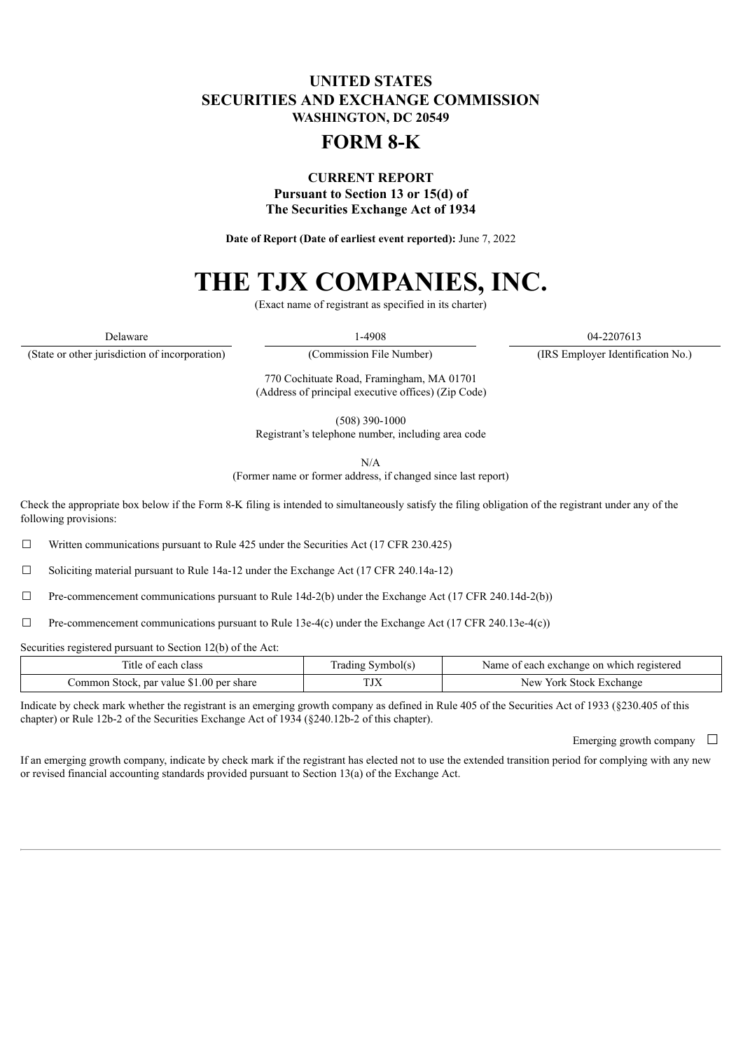## **UNITED STATES SECURITIES AND EXCHANGE COMMISSION WASHINGTON, DC 20549**

## **FORM 8-K**

### **CURRENT REPORT Pursuant to Section 13 or 15(d) of The Securities Exchange Act of 1934**

**Date of Report (Date of earliest event reported):** June 7, 2022

# **THE TJX COMPANIES, INC.**

(Exact name of registrant as specified in its charter)

(State or other jurisdiction of incorporation) (Commission File Number) (IRS Employer Identification No.)

Delaware 04-2207613

770 Cochituate Road, Framingham, MA 01701 (Address of principal executive offices) (Zip Code)

(508) 390-1000

Registrant's telephone number, including area code

N/A

(Former name or former address, if changed since last report)

Check the appropriate box below if the Form 8-K filing is intended to simultaneously satisfy the filing obligation of the registrant under any of the following provisions:

 $\Box$  Written communications pursuant to Rule 425 under the Securities Act (17 CFR 230.425)

 $\Box$  Soliciting material pursuant to Rule 14a-12 under the Exchange Act (17 CFR 240.14a-12)

 $\Box$  Pre-commencement communications pursuant to Rule 14d-2(b) under the Exchange Act (17 CFR 240.14d-2(b))

 $\Box$  Pre-commencement communications pursuant to Rule 13e-4(c) under the Exchange Act (17 CFR 240.13e-4(c))

Securities registered pursuant to Section 12(b) of the Act:

| each class                                     | rading ' | t each exchange on which registered |
|------------------------------------------------|----------|-------------------------------------|
| : OT                                           | Symbol(s | Name of                             |
| k, par value \$1.00 per share<br>Common Stock. | 1 J.A    | New<br>: Stock Exchange<br>York     |

Indicate by check mark whether the registrant is an emerging growth company as defined in Rule 405 of the Securities Act of 1933 (§230.405 of this chapter) or Rule 12b-2 of the Securities Exchange Act of 1934 (§240.12b-2 of this chapter).

Emerging growth company  $\Box$ 

If an emerging growth company, indicate by check mark if the registrant has elected not to use the extended transition period for complying with any new or revised financial accounting standards provided pursuant to Section 13(a) of the Exchange Act.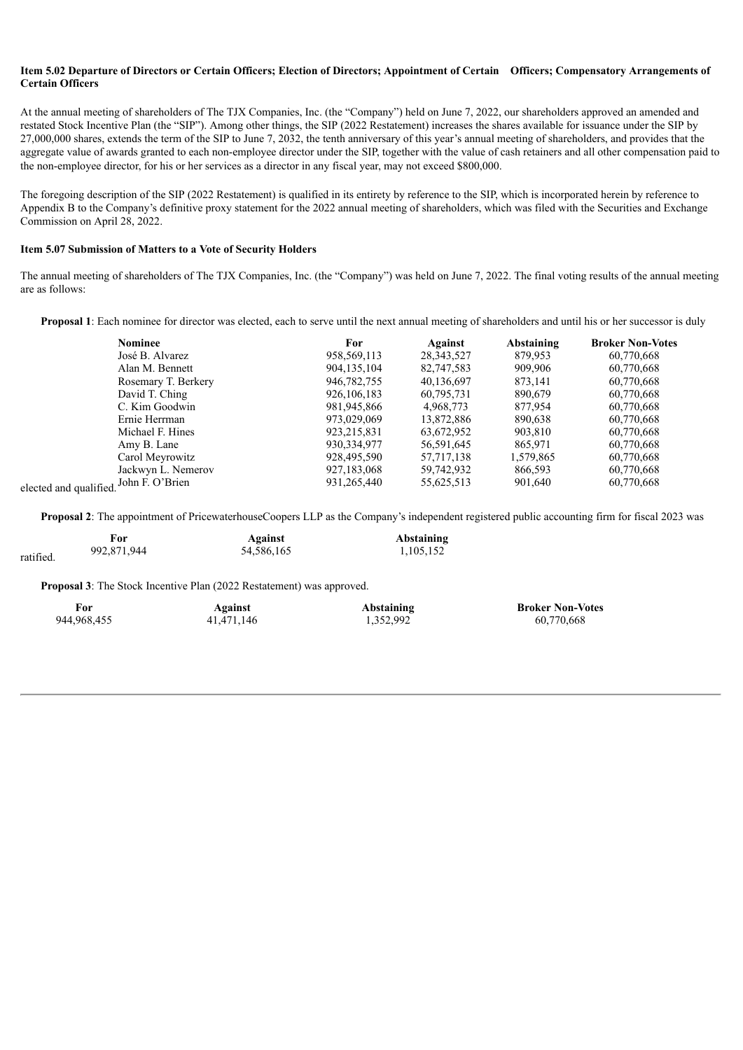#### Item 5.02 Departure of Directors or Certain Officers; Election of Directors; Appointment of Certain Officers; Compensatory Arrangements of **Certain Officers**

At the annual meeting of shareholders of The TJX Companies, Inc. (the "Company") held on June 7, 2022, our shareholders approved an amended and restated Stock Incentive Plan (the "SIP"). Among other things, the SIP (2022 Restatement) increases the shares available for issuance under the SIP by 27,000,000 shares, extends the term of the SIP to June 7, 2032, the tenth anniversary of this year's annual meeting of shareholders, and provides that the aggregate value of awards granted to each non-employee director under the SIP, together with the value of cash retainers and all other compensation paid to the non-employee director, for his or her services as a director in any fiscal year, may not exceed \$800,000.

The foregoing description of the SIP (2022 Restatement) is qualified in its entirety by reference to the SIP, which is incorporated herein by reference to Appendix B to the Company's definitive proxy statement for the 2022 annual meeting of shareholders, which was filed with the Securities and Exchange Commission on April 28, 2022.

#### **Item 5.07 Submission of Matters to a Vote of Security Holders**

The annual meeting of shareholders of The TJX Companies, Inc. (the "Company") was held on June 7, 2022. The final voting results of the annual meeting are as follows:

**Proposal 1**: Each nominee for director was elected, each to serve until the next annual meeting of shareholders and until his or her successor is duly

| <b>Nominee</b>        | For           | Against      | Abstaining | <b>Broker Non-Votes</b> |
|-----------------------|---------------|--------------|------------|-------------------------|
| José B. Alvarez       | 958, 569, 113 | 28, 343, 527 | 879,953    | 60,770,668              |
| Alan M. Bennett       | 904, 135, 104 | 82,747,583   | 909,906    | 60,770,668              |
| Rosemary T. Berkery   | 946,782,755   | 40,136,697   | 873,141    | 60,770,668              |
| David T. Ching        | 926, 106, 183 | 60,795,731   | 890.679    | 60,770,668              |
| C. Kim Goodwin        | 981,945,866   | 4,968,773    | 877,954    | 60,770,668              |
| Ernie Herrman         | 973.029.069   | 13,872,886   | 890,638    | 60,770,668              |
| Michael F. Hines      | 923, 215, 831 | 63,672,952   | 903,810    | 60,770,668              |
| Amy B. Lane           | 930, 334, 977 | 56,591,645   | 865,971    | 60,770,668              |
| Carol Meyrowitz       | 928,495,590   | 57,717,138   | 1,579,865  | 60,770,668              |
| Jackwyn L. Nemerov    | 927,183,068   | 59,742,932   | 866,593    | 60,770,668              |
| ified John F. O'Brien | 931.265.440   | 55,625,513   | 901,640    | 60,770,668              |
|                       |               |              |            |                         |

elected and qualified.

**Proposal 2**: The appointment of PricewaterhouseCoopers LLP as the Company's independent registered public accounting firm for fiscal 2023 was

|           | <b>For</b>  | Against    | <b>Abstaining</b> |
|-----------|-------------|------------|-------------------|
| ratified. | 992,871,944 | 54,586,165 | 1,105,152         |

**Proposal 3**: The Stock Incentive Plan (2022 Restatement) was approved.

| For         | Against    | <b>Abstaining</b> | <b>Broker Non-Votes</b> |
|-------------|------------|-------------------|-------------------------|
| 944,968,455 | 41,471,146 | 1,352,992         | 60,770,668              |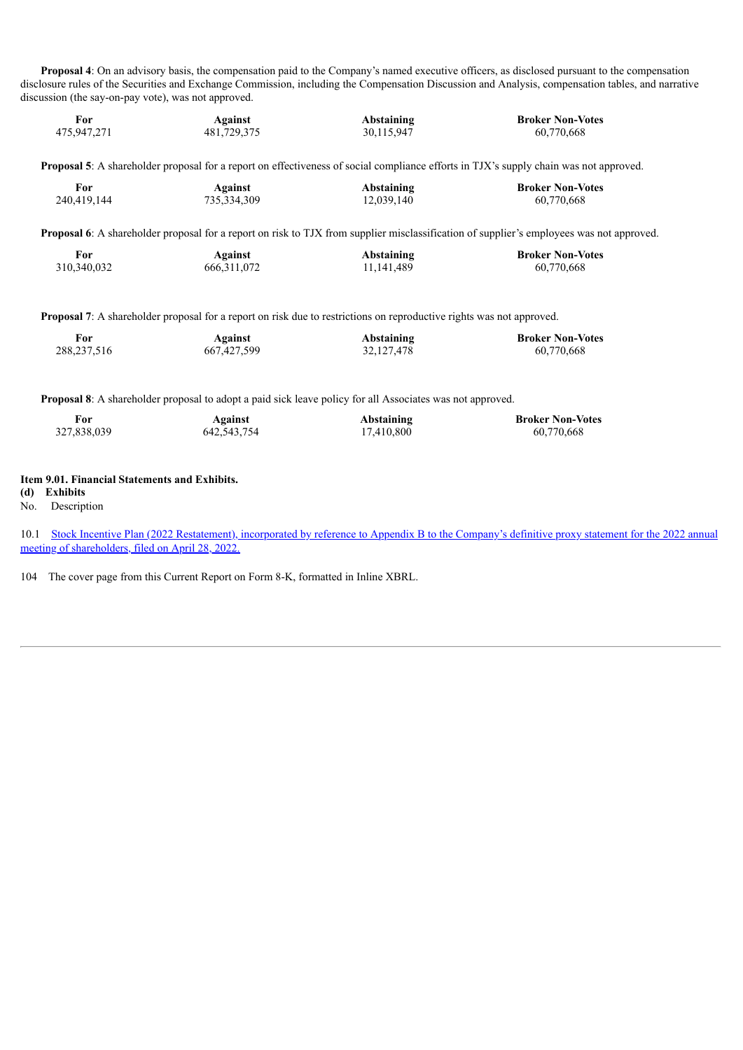**Proposal 4**: On an advisory basis, the compensation paid to the Company's named executive officers, as disclosed pursuant to the compensation disclosure rules of the Securities and Exchange Commission, including the Compensation Discussion and Analysis, compensation tables, and narrative discussion (the say-on-pay vote), was not approved.

| For<br>475,947,271 | Against<br>481,729,375 | Abstaining<br>30,115,947 | <b>Broker Non-Votes</b><br>60,770,668                                                                                                            |
|--------------------|------------------------|--------------------------|--------------------------------------------------------------------------------------------------------------------------------------------------|
|                    |                        |                          |                                                                                                                                                  |
|                    |                        |                          | <b>Proposal 5</b> : A shareholder proposal for a report on effectiveness of social compliance efforts in TJX's supply chain was not approved.    |
| For                | Against                | Abstaining               | <b>Broker Non-Votes</b>                                                                                                                          |
| 240,419,144        | 735, 334, 309          | 12,039,140               | 60,770,668                                                                                                                                       |
|                    |                        |                          | <b>Proposal 6</b> : A shareholder proposal for a report on risk to TJX from supplier misclassification of supplier's employees was not approved. |
| For                | Against                | Abstaining               | <b>Broker Non-Votes</b>                                                                                                                          |
| 310.340.032        | 666.311.072            | 11, 141, 489             | 60,770,668                                                                                                                                       |
|                    |                        |                          |                                                                                                                                                  |

**Proposal 7**: A shareholder proposal for a report on risk due to restrictions on reproductive rights was not approved.

| For           | Against     | Abstaining   | <b>Broker Non-Votes</b> |
|---------------|-------------|--------------|-------------------------|
| 288, 237, 516 | 667,427,599 | 32, 127, 478 | 60,770,668              |

**Proposal 8**: A shareholder proposal to adopt a paid sick leave policy for all Associates was not approved.

| - For       | Against       | Abstaining | <b>Broker Non-Votes</b> |
|-------------|---------------|------------|-------------------------|
| 327,838,039 | 642, 543, 754 | 17,410,800 | 60,770,668              |

#### **Item 9.01. Financial Statements and Exhibits.**

**(d) Exhibits**

No. Description

10.1 Stock [Incentive](https://www.sec.gov/Archives/edgar/data/0000109198/000010919822000024/a2022proxystatement.htm#ibd1d957d8d0d47d598341251f8d5d525_1099511629019) Plan (20[22](https://www.sec.gov/Archives/edgar/data/0000109198/000010919822000024/a2022proxystatement.htm#ibd1d957d8d0d47d598341251f8d5d525_1099511629019) [Restatement\),](https://www.sec.gov/Archives/edgar/data/0000109198/000010919822000024/a2022proxystatement.htm#ibd1d957d8d0d47d598341251f8d5d525_1099511629019) inc[o](https://www.sec.gov/Archives/edgar/data/0000109198/000010919822000024/a2022proxystatement.htm#ibd1d957d8d0d47d598341251f8d5d525_1099511629019)rporated by reference to [A](https://www.sec.gov/Archives/edgar/data/0000109198/000010919822000024/a2022proxystatement.htm#ibd1d957d8d0d47d598341251f8d5d525_1099511629019)ppendix B to the Company's definitive proxy statement for the 2022 annual meeting of shareholders, [filed](https://www.sec.gov/Archives/edgar/data/0000109198/000010919822000024/a2022proxystatement.htm#ibd1d957d8d0d47d598341251f8d5d525_1099511629019) [on](https://www.sec.gov/Archives/edgar/data/0000109198/000010919822000024/a2022proxystatement.htm#ibd1d957d8d0d47d598341251f8d5d525_1099511629019) April 28, [2022.](https://www.sec.gov/Archives/edgar/data/0000109198/000010919822000024/a2022proxystatement.htm#ibd1d957d8d0d47d598341251f8d5d525_1099511629019)

104 The cover page from this Current Report on Form 8-K, formatted in Inline XBRL.